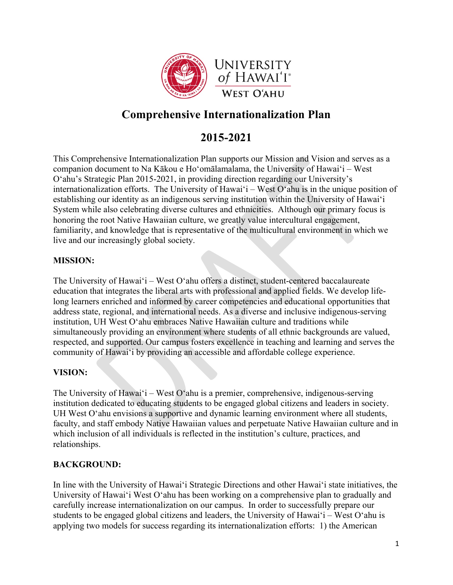

# **Comprehensive Internationalization Plan**

# **2015-2021**

This Comprehensive Internationalization Plan supports our Mission and Vision and serves as a companion document to Na Kākou e Ho'omālamalama, the University of Hawai'i – West O'ahu's Strategic Plan 2015-2021, in providing direction regarding our University's internationalization efforts. The University of Hawai'i – West O'ahu is in the unique position of establishing our identity as an indigenous serving institution within the University of Hawai'i System while also celebrating diverse cultures and ethnicities. Although our primary focus is honoring the root Native Hawaiian culture, we greatly value intercultural engagement, familiarity, and knowledge that is representative of the multicultural environment in which we live and our increasingly global society.

### **MISSION:**

The University of Hawai'i – West O'ahu offers a distinct, student-centered baccalaureate education that integrates the liberal arts with professional and applied fields. We develop lifelong learners enriched and informed by career competencies and educational opportunities that address state, regional, and international needs. As a diverse and inclusive indigenous-serving institution, UH West Oʻahu embraces Native Hawaiian culture and traditions while simultaneously providing an environment where students of all ethnic backgrounds are valued, respected, and supported. Our campus fosters excellence in teaching and learning and serves the community of Hawai'i by providing an accessible and affordable college experience.

### **VISION:**

The University of Hawai'i – West O'ahu is a premier, comprehensive, indigenous-serving institution dedicated to educating students to be engaged global citizens and leaders in society. UH West O'ahu envisions a supportive and dynamic learning environment where all students, faculty, and staff embody Native Hawaiian values and perpetuate Native Hawaiian culture and in which inclusion of all individuals is reflected in the institution's culture, practices, and relationships.

### **BACKGROUND:**

In line with the University of Hawai'i Strategic Directions and other Hawai'i state initiatives, the University of Hawai'i West O'ahu has been working on a comprehensive plan to gradually and carefully increase internationalization on our campus. In order to successfully prepare our students to be engaged global citizens and leaders, the University of Hawai'i – West O'ahu is applying two models for success regarding its internationalization efforts: 1) the American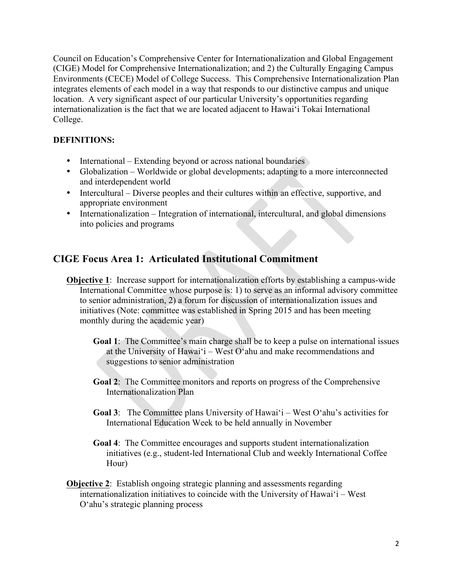Council on Education's Comprehensive Center for Internationalization and Global Engagement (CIGE) Model for Comprehensive Internationalization; and 2) the Culturally Engaging Campus Environments (CECE) Model of College Success. This Comprehensive Internationalization Plan integrates elements of each model in a way that responds to our distinctive campus and unique location. A very significant aspect of our particular University's opportunities regarding internationalization is the fact that we are located adjacent to Hawai'i Tokai International College.

## **DEFINITIONS:**

- International Extending beyond or across national boundaries
- Globalization Worldwide or global developments; adapting to a more interconnected and interdependent world
- Intercultural Diverse peoples and their cultures within an effective, supportive, and appropriate environment
- Internationalization Integration of international, intercultural, and global dimensions into policies and programs

# **CIGE Focus Area 1: Articulated Institutional Commitment**

- **Objective 1**: Increase support for internationalization efforts by establishing a campus-wide International Committee whose purpose is: 1) to serve as an informal advisory committee to senior administration, 2) a forum for discussion of internationalization issues and initiatives (Note: committee was established in Spring 2015 and has been meeting monthly during the academic year)
	- **Goal 1**: The Committee's main charge shall be to keep a pulse on international issues at the University of Hawai'i – West O'ahu and make recommendations and suggestions to senior administration
	- **Goal 2**: The Committee monitors and reports on progress of the Comprehensive Internationalization Plan
	- **Goal 3**: The Committee plans University of Hawai'i West O'ahu's activities for International Education Week to be held annually in November
	- **Goal 4**: The Committee encourages and supports student internationalization initiatives (e.g., student-led International Club and weekly International Coffee Hour)
- **Objective 2:** Establish ongoing strategic planning and assessments regarding internationalization initiatives to coincide with the University of Hawai'i – West O'ahu's strategic planning process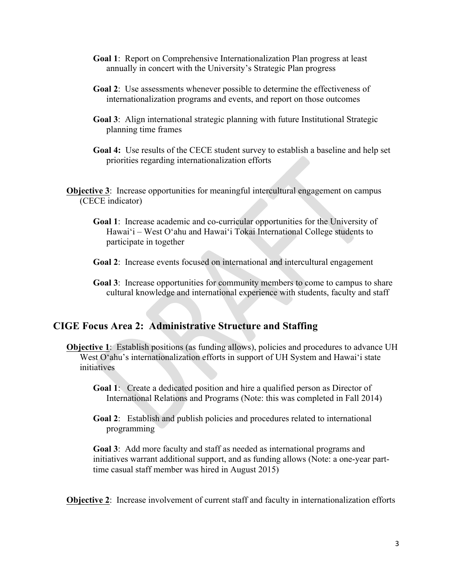- **Goal 1**: Report on Comprehensive Internationalization Plan progress at least annually in concert with the University's Strategic Plan progress
- **Goal 2**: Use assessments whenever possible to determine the effectiveness of internationalization programs and events, and report on those outcomes
- **Goal 3**: Align international strategic planning with future Institutional Strategic planning time frames
- **Goal 4:** Use results of the CECE student survey to establish a baseline and help set priorities regarding internationalization efforts

**Objective 3**: Increase opportunities for meaningful intercultural engagement on campus (CECE indicator)

- **Goal 1**: Increase academic and co-curricular opportunities for the University of Hawai'i – West O'ahu and Hawai'i Tokai International College students to participate in together
- **Goal 2**: Increase events focused on international and intercultural engagement
- **Goal 3**: Increase opportunities for community members to come to campus to share cultural knowledge and international experience with students, faculty and staff

## **CIGE Focus Area 2: Administrative Structure and Staffing**

- **Objective 1**: Establish positions (as funding allows), policies and procedures to advance UH West O'ahu's internationalization efforts in support of UH System and Hawai'i state initiatives
	- **Goal 1**: Create a dedicated position and hire a qualified person as Director of International Relations and Programs (Note: this was completed in Fall 2014)
	- **Goal 2**: Establish and publish policies and procedures related to international programming

**Goal 3**: Add more faculty and staff as needed as international programs and initiatives warrant additional support, and as funding allows (Note: a one-year parttime casual staff member was hired in August 2015)

**Objective 2**: Increase involvement of current staff and faculty in internationalization efforts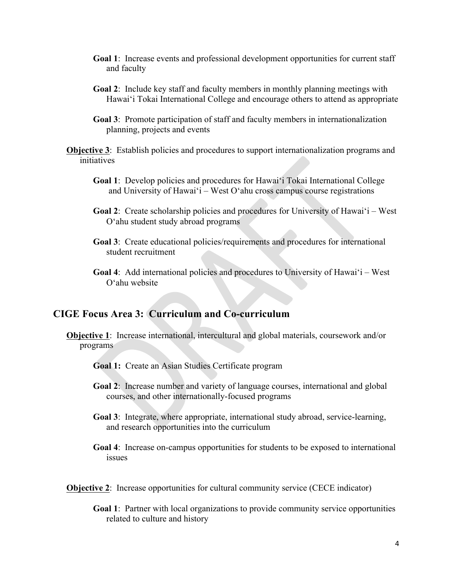- **Goal 1**: Increase events and professional development opportunities for current staff and faculty
- **Goal 2**: Include key staff and faculty members in monthly planning meetings with Hawai'i Tokai International College and encourage others to attend as appropriate
- **Goal 3**: Promote participation of staff and faculty members in internationalization planning, projects and events

**Objective 3**: Establish policies and procedures to support internationalization programs and initiatives

- **Goal 1**: Develop policies and procedures for Hawai'i Tokai International College and University of Hawai'i – West O'ahu cross campus course registrations
- **Goal 2**: Create scholarship policies and procedures for University of Hawai'i West O'ahu student study abroad programs
- **Goal 3**: Create educational policies/requirements and procedures for international student recruitment
- **Goal 4**: Add international policies and procedures to University of Hawai'i West O'ahu website

# **CIGE Focus Area 3: Curriculum and Co-curriculum**

- **Objective 1**: Increase international, intercultural and global materials, coursework and/or programs
	- **Goal 1:** Create an Asian Studies Certificate program
	- **Goal 2**: Increase number and variety of language courses, international and global courses, and other internationally-focused programs
	- **Goal 3**: Integrate, where appropriate, international study abroad, service-learning, and research opportunities into the curriculum
	- **Goal 4**: Increase on-campus opportunities for students to be exposed to international issues
- **Objective 2:** Increase opportunities for cultural community service (CECE indicator)
	- **Goal 1**: Partner with local organizations to provide community service opportunities related to culture and history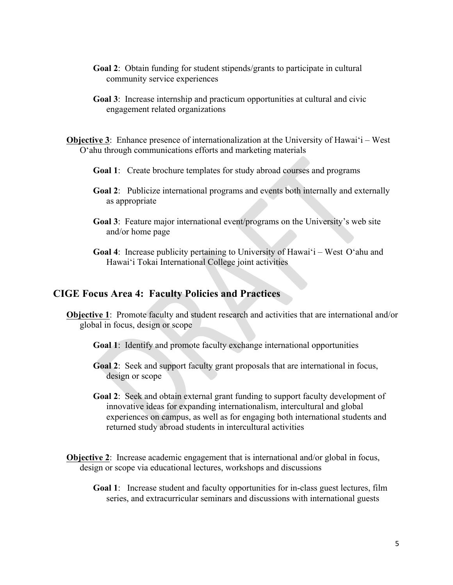- **Goal 2**: Obtain funding for student stipends/grants to participate in cultural community service experiences
- **Goal 3**: Increase internship and practicum opportunities at cultural and civic engagement related organizations
- **Objective 3:** Enhance presence of internationalization at the University of Hawai'i West O'ahu through communications efforts and marketing materials
	- **Goal 1**: Create brochure templates for study abroad courses and programs
	- **Goal 2**: Publicize international programs and events both internally and externally as appropriate
	- **Goal 3**: Feature major international event/programs on the University's web site and/or home page
	- **Goal 4**: Increase publicity pertaining to University of Hawai'i West O'ahu and Hawai'i Tokai International College joint activities

### **CIGE Focus Area 4: Faculty Policies and Practices**

- **Objective 1**: Promote faculty and student research and activities that are international and/or global in focus, design or scope
	- **Goal 1**: Identify and promote faculty exchange international opportunities
	- **Goal 2**: Seek and support faculty grant proposals that are international in focus, design or scope
	- **Goal 2**: Seek and obtain external grant funding to support faculty development of innovative ideas for expanding internationalism, intercultural and global experiences on campus, as well as for engaging both international students and returned study abroad students in intercultural activities
- **Objective 2:** Increase academic engagement that is international and/or global in focus, design or scope via educational lectures, workshops and discussions
	- **Goal 1**: Increase student and faculty opportunities for in-class guest lectures, film series, and extracurricular seminars and discussions with international guests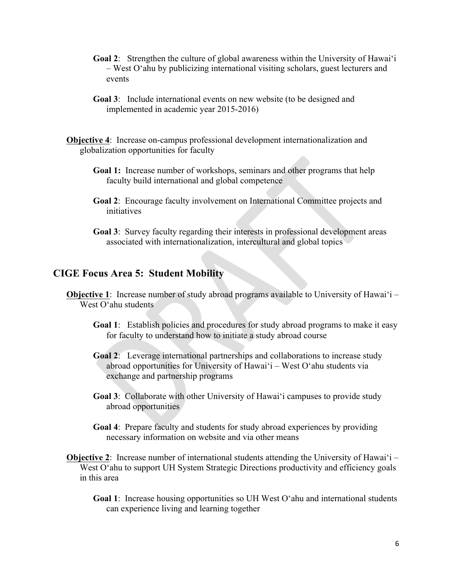- **Goal 2**: Strengthen the culture of global awareness within the University of Hawai'i – West O'ahu by publicizing international visiting scholars, guest lecturers and events
- **Goal 3**: Include international events on new website (to be designed and implemented in academic year 2015-2016)

**Objective 4**: Increase on-campus professional development internationalization and globalization opportunities for faculty

- **Goal 1:** Increase number of workshops, seminars and other programs that help faculty build international and global competence
- **Goal 2**: Encourage faculty involvement on International Committee projects and *initiatives*
- **Goal 3**: Survey faculty regarding their interests in professional development areas associated with internationalization, intercultural and global topics

### **CIGE Focus Area 5: Student Mobility**

- **Objective 1**: Increase number of study abroad programs available to University of Hawai'i West O'ahu students
	- **Goal 1**: Establish policies and procedures for study abroad programs to make it easy for faculty to understand how to initiate a study abroad course
	- **Goal 2**: Leverage international partnerships and collaborations to increase study abroad opportunities for University of Hawai'i – West O'ahu students via exchange and partnership programs
	- **Goal 3**: Collaborate with other University of Hawai'i campuses to provide study abroad opportunities
	- **Goal 4**: Prepare faculty and students for study abroad experiences by providing necessary information on website and via other means
- **Objective 2:** Increase number of international students attending the University of Hawai'i West O'ahu to support UH System Strategic Directions productivity and efficiency goals in this area
	- **Goal 1**: Increase housing opportunities so UH West O'ahu and international students can experience living and learning together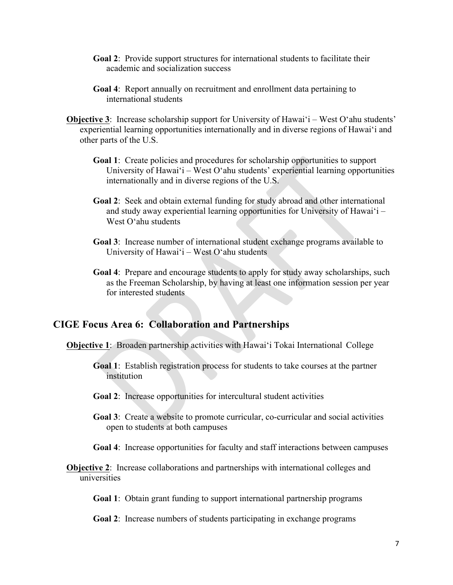- **Goal 2**: Provide support structures for international students to facilitate their academic and socialization success
- **Goal 4**: Report annually on recruitment and enrollment data pertaining to international students
- **Objective 3:** Increase scholarship support for University of Hawai'i West O'ahu students' experiential learning opportunities internationally and in diverse regions of Hawai'i and other parts of the U.S.
	- **Goal 1**: Create policies and procedures for scholarship opportunities to support University of Hawai'i – West O'ahu students' experiential learning opportunities internationally and in diverse regions of the U.S.
	- **Goal 2**: Seek and obtain external funding for study abroad and other international and study away experiential learning opportunities for University of Hawai'i – West O'ahu students
	- **Goal 3**: Increase number of international student exchange programs available to University of Hawai'i – West O'ahu students
	- **Goal 4**: Prepare and encourage students to apply for study away scholarships, such as the Freeman Scholarship, by having at least one information session per year for interested students

#### **CIGE Focus Area 6: Collaboration and Partnerships**

**Objective 1**: Broaden partnership activities with Hawai'i Tokai International College

- **Goal 1**: Establish registration process for students to take courses at the partner institution
- **Goal 2**: Increase opportunities for intercultural student activities
- **Goal 3**: Create a website to promote curricular, co-curricular and social activities open to students at both campuses
- **Goal 4**: Increase opportunities for faculty and staff interactions between campuses
- **Objective 2:** Increase collaborations and partnerships with international colleges and universities

**Goal 1**: Obtain grant funding to support international partnership programs

**Goal 2**: Increase numbers of students participating in exchange programs